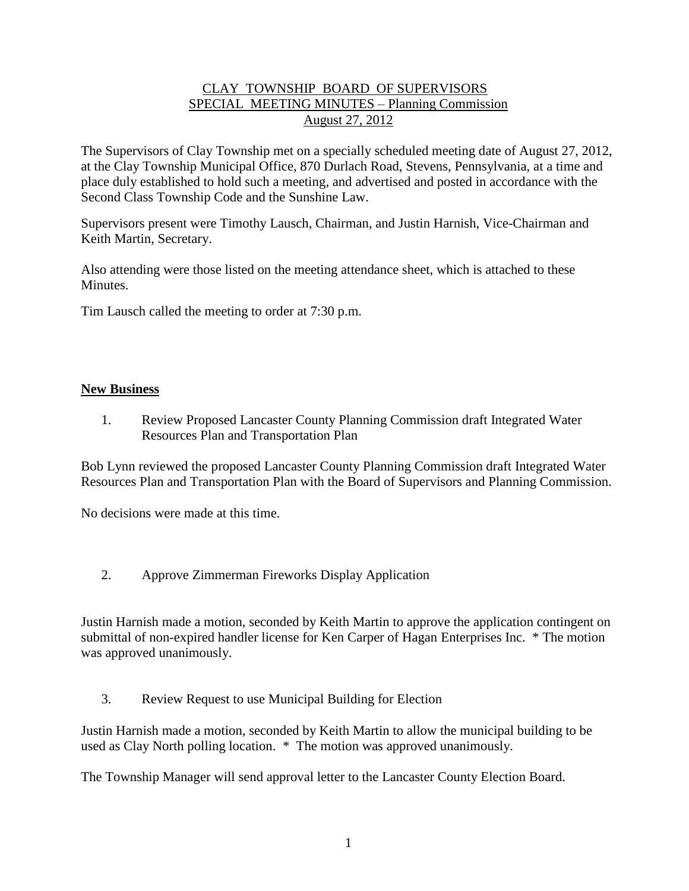## CLAY TOWNSHIP BOARD OF SUPERVISORS SPECIAL MEETING MINUTES – Planning Commission August 27, 2012

The Supervisors of Clay Township met on a specially scheduled meeting date of August 27, 2012, at the Clay Township Municipal Office, 870 Durlach Road, Stevens, Pennsylvania, at a time and place duly established to hold such a meeting, and advertised and posted in accordance with the Second Class Township Code and the Sunshine Law.

Supervisors present were Timothy Lausch, Chairman, and Justin Harnish, Vice-Chairman and Keith Martin, Secretary.

Also attending were those listed on the meeting attendance sheet, which is attached to these Minutes.

Tim Lausch called the meeting to order at 7:30 p.m.

## **New Business**

1. Review Proposed Lancaster County Planning Commission draft Integrated Water Resources Plan and Transportation Plan

Bob Lynn reviewed the proposed Lancaster County Planning Commission draft Integrated Water Resources Plan and Transportation Plan with the Board of Supervisors and Planning Commission.

No decisions were made at this time.

2. Approve Zimmerman Fireworks Display Application

Justin Harnish made a motion, seconded by Keith Martin to approve the application contingent on submittal of non-expired handler license for Ken Carper of Hagan Enterprises Inc. \* The motion was approved unanimously.

3. Review Request to use Municipal Building for Election

Justin Harnish made a motion, seconded by Keith Martin to allow the municipal building to be used as Clay North polling location. \* The motion was approved unanimously.

The Township Manager will send approval letter to the Lancaster County Election Board.